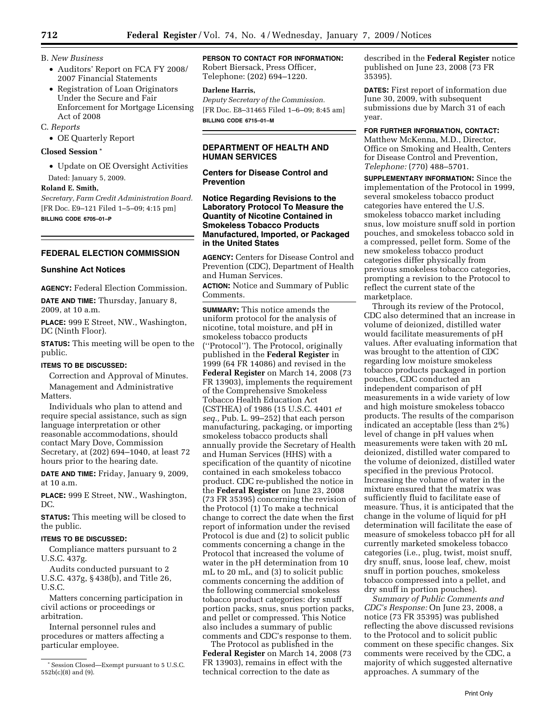- B. *New Business*
	- Auditors' Report on FCA FY 2008/ 2007 Financial Statements
	- Registration of Loan Originators Under the Secure and Fair Enforcement for Mortgage Licensing Act of 2008
- C. *Reports*
	- OE Quarterly Report

# **Closed Session \***

- Update on OE Oversight Activities
- Dated: January 5, 2009.

# **Roland E. Smith,**

*Secretary, Farm Credit Administration Board.*  [FR Doc. E9–121 Filed 1–5–09; 4:15 pm] **BILLING CODE 6705–01–P** 

# **FEDERAL ELECTION COMMISSION**

# **Sunshine Act Notices**

**AGENCY:** Federal Election Commission.

**DATE AND TIME:** Thursday, January 8, 2009, at 10 a.m.

**PLACE:** 999 E Street, NW., Washington, DC (Ninth Floor).

**STATUS:** This meeting will be open to the public.

# **ITEMS TO BE DISCUSSED:**

Correction and Approval of Minutes. Management and Administrative **Matters** 

Individuals who plan to attend and require special assistance, such as sign language interpretation or other reasonable accommodations, should contact Mary Dove, Commission Secretary, at (202) 694–1040, at least 72 hours prior to the hearing date.

**DATE AND TIME:** Friday, January 9, 2009, at 10 a.m.

**PLACE:** 999 E Street, NW., Washington, DC.

**STATUS:** This meeting will be closed to the public.

# **ITEMS TO BE DISCUSSED:**

Compliance matters pursuant to 2 U.S.C. 437g.

Audits conducted pursuant to 2 U.S.C. 437g, § 438(b), and Title 26, U.S.C.

Matters concerning participation in civil actions or proceedings or arbitration.

Internal personnel rules and procedures or matters affecting a particular employee.

**PERSON TO CONTACT FOR INFORMATION:**  Robert Biersack, Press Officer, Telephone: (202) 694–1220.

# **Darlene Harris,**

*Deputy Secretary of the Commission.*  [FR Doc. E8–31465 Filed 1–6–09; 8:45 am] **BILLING CODE 6715–01–M** 

# **DEPARTMENT OF HEALTH AND HUMAN SERVICES**

# **Centers for Disease Control and Prevention**

**Notice Regarding Revisions to the Laboratory Protocol To Measure the Quantity of Nicotine Contained in Smokeless Tobacco Products Manufactured, Imported, or Packaged in the United States** 

**AGENCY:** Centers for Disease Control and Prevention (CDC), Department of Health and Human Services.

**ACTION:** Notice and Summary of Public Comments.

**SUMMARY:** This notice amends the uniform protocol for the analysis of nicotine, total moisture, and pH in smokeless tobacco products (''Protocol''). The Protocol, originally published in the **Federal Register** in 1999 (64 FR 14086) and revised in the **Federal Register** on March 14, 2008 (73 FR 13903), implements the requirement of the Comprehensive Smokeless Tobacco Health Education Act (CSTHEA) of 1986 (15 U.S.C. 4401 *et seq.,* Pub. L. 99–252) that each person manufacturing, packaging, or importing smokeless tobacco products shall annually provide the Secretary of Health and Human Services (HHS) with a specification of the quantity of nicotine contained in each smokeless tobacco product. CDC re-published the notice in the **Federal Register** on June 23, 2008 (73 FR 35395) concerning the revision of the Protocol (1) To make a technical change to correct the date when the first report of information under the revised Protocol is due and (2) to solicit public comments concerning a change in the Protocol that increased the volume of water in the pH determination from 10 mL to 20 mL, and (3) to solicit public comments concerning the addition of the following commercial smokeless tobacco product categories: dry snuff portion packs, snus, snus portion packs, and pellet or compressed. This Notice also includes a summary of public comments and CDC's response to them.

The Protocol as published in the **Federal Register** on March 14, 2008 (73 FR 13903), remains in effect with the technical correction to the date as

described in the **Federal Register** notice published on June 23, 2008 (73 FR 35395).

**DATES:** First report of information due June 30, 2009, with subsequent submissions due by March 31 of each year.

# **FOR FURTHER INFORMATION, CONTACT:**

Matthew McKenna, M.D., Director, Office on Smoking and Health, Centers for Disease Control and Prevention, *Telephone:* (770) 488–5701.

**SUPPLEMENTARY INFORMATION:** Since the implementation of the Protocol in 1999, several smokeless tobacco product categories have entered the U.S. smokeless tobacco market including snus, low moisture snuff sold in portion pouches, and smokeless tobacco sold in a compressed, pellet form. Some of the new smokeless tobacco product categories differ physically from previous smokeless tobacco categories, prompting a revision to the Protocol to reflect the current state of the marketplace.

Through its review of the Protocol, CDC also determined that an increase in volume of deionized, distilled water would facilitate measurements of pH values. After evaluating information that was brought to the attention of CDC regarding low moisture smokeless tobacco products packaged in portion pouches, CDC conducted an independent comparison of pH measurements in a wide variety of low and high moisture smokeless tobacco products. The results of the comparison indicated an acceptable (less than 2%) level of change in pH values when measurements were taken with 20 mL deionized, distilled water compared to the volume of deionized, distilled water specified in the previous Protocol. Increasing the volume of water in the mixture ensured that the matrix was sufficiently fluid to facilitate ease of measure. Thus, it is anticipated that the change in the volume of liquid for pH determination will facilitate the ease of measure of smokeless tobacco pH for all currently marketed smokeless tobacco categories (i.e., plug, twist, moist snuff, dry snuff, snus, loose leaf, chew, moist snuff in portion pouches, smokeless tobacco compressed into a pellet, and dry snuff in portion pouches).

*Summary of Public Comments and CDC's Response:* On June 23, 2008, a notice (73 FR 35395) was published reflecting the above discussed revisions to the Protocol and to solicit public comment on these specific changes. Six comments were received by the CDC, a majority of which suggested alternative approaches. A summary of the

<sup>\*</sup> Session Closed—Exempt pursuant to 5 U.S.C. 552b(c)(8) and (9).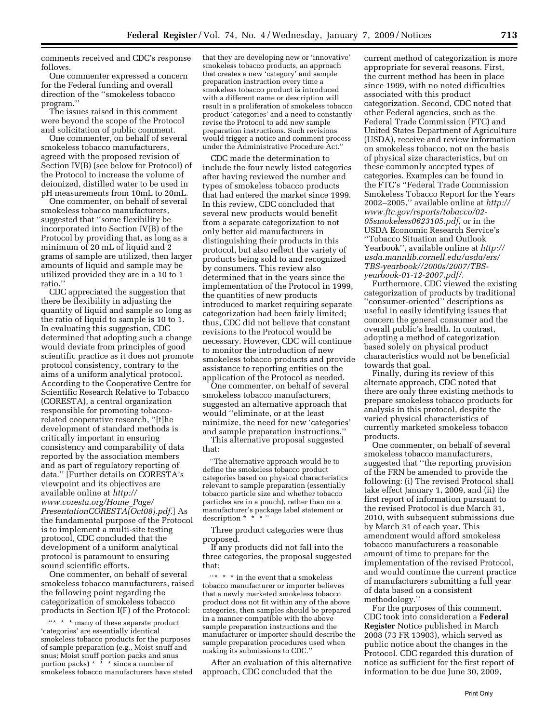comments received and CDC's response follows.

One commenter expressed a concern for the Federal funding and overall direction of the ''smokeless tobacco program.''

The issues raised in this comment were beyond the scope of the Protocol and solicitation of public comment.

One commenter, on behalf of several smokeless tobacco manufacturers, agreed with the proposed revision of Section IV(B) (see below for Protocol) of the Protocol to increase the volume of deionized, distilled water to be used in pH measurements from 10mL to 20mL.

One commenter, on behalf of several smokeless tobacco manufacturers, suggested that ''some flexibility be incorporated into Section IV(B) of the Protocol by providing that, as long as a minimum of 20 mL of liquid and 2 grams of sample are utilized, then larger amounts of liquid and sample may be utilized provided they are in a 10 to 1 ratio.''

CDC appreciated the suggestion that there be flexibility in adjusting the quantity of liquid and sample so long as the ratio of liquid to sample is 10 to 1. In evaluating this suggestion, CDC determined that adopting such a change would deviate from principles of good scientific practice as it does not promote protocol consistency, contrary to the aims of a uniform analytical protocol. According to the Cooperative Centre for Scientific Research Relative to Tobacco (CORESTA), a central organization responsible for promoting tobaccorelated cooperative research, ''[t]he development of standard methods is critically important in ensuring consistency and comparability of data reported by the association members and as part of regulatory reporting of data.'' [Further details on CORESTA's viewpoint and its objectives are available online at *http:// www.coresta.org/Home*\_*Page/ PresentationCORESTA(Oct08).pdf.*] As the fundamental purpose of the Protocol is to implement a multi-site testing protocol, CDC concluded that the development of a uniform analytical protocol is paramount to ensuring sound scientific efforts.

One commenter, on behalf of several smokeless tobacco manufacturers, raised the following point regarding the categorization of smokeless tobacco products in Section I(F) of the Protocol:

''\* \* \* many of these separate product 'categories' are essentially identical smokeless tobacco products for the purposes of sample preparation (e.g., Moist snuff and snus; Moist snuff portion packs and snus portion packs)  $* * *$  since a number of smokeless tobacco manufacturers have stated

that they are developing new or 'innovative' smokeless tobacco products, an approach that creates a new 'category' and sample preparation instruction every time a smokeless tobacco product is introduced with a different name or description will result in a proliferation of smokeless tobacco product 'categories' and a need to constantly revise the Protocol to add new sample preparation instructions. Such revisions would trigger a notice and comment process under the Administrative Procedure Act.''

CDC made the determination to include the four newly listed categories after having reviewed the number and types of smokeless tobacco products that had entered the market since 1999. In this review, CDC concluded that several new products would benefit from a separate categorization to not only better aid manufacturers in distinguishing their products in this protocol, but also reflect the variety of products being sold to and recognized by consumers. This review also determined that in the years since the implementation of the Protocol in 1999, the quantities of new products introduced to market requiring separate categorization had been fairly limited; thus, CDC did not believe that constant revisions to the Protocol would be necessary. However, CDC will continue to monitor the introduction of new smokeless tobacco products and provide assistance to reporting entities on the application of the Protocol as needed.

One commenter, on behalf of several smokeless tobacco manufacturers, suggested an alternative approach that would ''eliminate, or at the least minimize, the need for new 'categories' and sample preparation instructions.'' This alternative proposal suggested

that:

The alternative approach would be to define the smokeless tobacco product categories based on physical characteristics relevant to sample preparation (essentially tobacco particle size and whether tobacco particles are in a pouch), rather than on a manufacturer's package label statement or description  $*$ 

Three product categories were thus proposed.

If any products did not fall into the three categories, the proposal suggested that:

 $\lq{^\prime}^*$   $\;\ast\;$  \* in the event that a smokeless tobacco manufacturer or importer believes that a newly marketed smokeless tobacco product does not fit within any of the above categories, then samples should be prepared in a manner compatible with the above sample preparation instructions and the manufacturer or importer should describe the sample preparation procedures used when making its submissions to CDC.

After an evaluation of this alternative approach, CDC concluded that the

current method of categorization is more appropriate for several reasons. First, the current method has been in place since 1999, with no noted difficulties associated with this product categorization. Second, CDC noted that other Federal agencies, such as the Federal Trade Commission (FTC) and United States Department of Agriculture (USDA), receive and review information on smokeless tobacco, not on the basis of physical size characteristics, but on these commonly accepted types of categories. Examples can be found in the FTC's ''Federal Trade Commission Smokeless Tobacco Report for the Years 2002–2005,'' available online at *http:// www.ftc.gov/reports/tobacco/02- 05smokeless0623105.pdf,* or in the USDA Economic Research Service's ''Tobacco Situation and Outlook Yearbook'', available online at *http:// usda.mannlib.cornell.edu/usda/ers/ TBS-yearbook//2000s/2007/TBSyearbook-01-12-2007.pdf/.* 

Furthermore, CDC viewed the existing categorization of products by traditional ''consumer-oriented'' descriptions as useful in easily identifying issues that concern the general consumer and the overall public's health. In contrast, adopting a method of categorization based solely on physical product characteristics would not be beneficial towards that goal.

Finally, during its review of this alternate approach, CDC noted that there are only three existing methods to prepare smokeless tobacco products for analysis in this protocol, despite the varied physical characteristics of currently marketed smokeless tobacco products.

One commenter, on behalf of several smokeless tobacco manufacturers, suggested that ''the reporting provision of the FRN be amended to provide the following: (i) The revised Protocol shall take effect January 1, 2009, and (ii) the first report of information pursuant to the revised Protocol is due March 31, 2010, with subsequent submissions due by March 31 of each year. This amendment would afford smokeless tobacco manufacturers a reasonable amount of time to prepare for the implementation of the revised Protocol, and would continue the current practice of manufacturers submitting a full year of data based on a consistent methodology.''

For the purposes of this comment, CDC took into consideration a **Federal Register** Notice published in March 2008 (73 FR 13903), which served as public notice about the changes in the Protocol. CDC regarded this duration of notice as sufficient for the first report of information to be due June 30, 2009,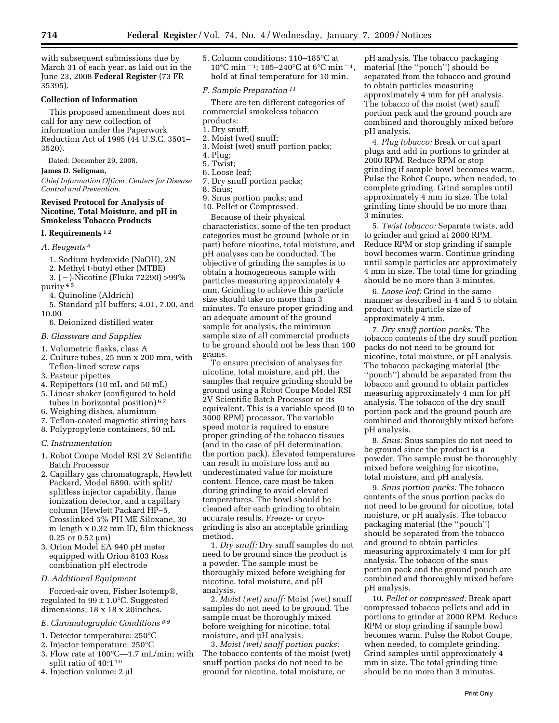with subsequent submissions due by March 31 of each year, as laid out in the June 23, 2008 **Federal Register** (73 FR 35395).

# **Collection of Information**

This proposed amendment does not call for any new collection of information under the Paperwork Reduction Act of 1995 (44 U.S.C. 3501– 3520).

Dated: December 29, 2008.

### **James D. Seligman,**

*Chief Information Officer, Centers for Disease Control and Prevention.* 

### **Revised Protocol for Analysis of Nicotine, Total Moisture, and pH in Smokeless Tobacco Products**

### **I. Requirements 1 2**

- *A. Reagents 3* 
	- 1. Sodium hydroxide (NaOH), 2N
	- 2. Methyl t-butyl ether (MTBE)
- 3. (¥)-Nicotine (Fluka 72290) >99% purity 45
	- 4. Quinoline (Aldrich)
- 5. Standard pH buffers; 4.01, 7.00, and 10.00
	- 6. Deionized distilled water
- *B. Glassware and Supplies*
- 1. Volumetric flasks, class A
- 2. Culture tubes, 25 mm x 200 mm, with Teflon-lined screw caps
- 3. Pasteur pipettes
- 4. Repipettors (10 mL and 50 mL)
- 5. Linear shaker (configured to hold tubes in horizontal position) 6 7
- 6. Weighing dishes, aluminum
- 7. Teflon-coated magnetic stirring bars
- 8. Polypropylene containers, 50 mL

### *C. Instrumentation*

- 1. Robot Coupe Model RSI 2V Scientific Batch Processor
- 2. Capillary gas chromatograph, Hewlett Packard, Model 6890, with split/ splitless injector capability, flame ionization detector, and a capillary column (Hewlett Packard HP–5, Crosslinked 5% PH ME Siloxane, 30 m length x 0.32 mm ID, film thickness 0.25 or 0.52 μm)
- 3. Orion Model EA 940 pH meter equipped with Orion 8103 Ross combination pH electrode

## *D. Additional Equipment*

Forced-air oven, Fisher Isotemp®, regulated to  $99 \pm 1.0$ °C. Suggested dimensions: 18 x 18 x 20inches.

# *E. Chromatographic Conditions 8 9*

- 1. Detector temperature: 250°C
- 2. Injector temperature: 250°C
- 3. Flow rate at 100°C—1.7 mL/min; with split ratio of 40:1 10
- 4. Injection volume: 2 μl

5. Column conditions: 110–185°C at 10°C min<sup>-1</sup>; 185–240°C at 6°C min<sup>-1</sup>, hold at final temperature for 10 min.

### *F. Sample Preparation 11*

There are ten different categories of commercial smokeless tobacco

- products:
- 1. Dry snuff;
- 2. Moist (wet) snuff; 3. Moist (wet) snuff portion packs;
- 
- 4. Plug; 5. Twist;
- 6. Loose leaf;
- 7. Dry snuff portion packs;
- 8. Snus;
- 9. Snus portion packs; and
- 10. Pellet or Compressed.

Because of their physical characteristics, some of the ten product categories must be ground (whole or in part) before nicotine, total moisture, and pH analyses can be conducted. The objective of grinding the samples is to obtain a homogeneous sample with particles measuring approximately 4 mm. Grinding to achieve this particle size should take no more than 3 minutes. To ensure proper grinding and an adequate amount of the ground sample for analysis, the minimum sample size of all commercial products to be ground should not be less than 100 grams.

To ensure precision of analyses for nicotine, total moisture, and pH, the samples that require grinding should be ground using a Robot Coupe Model RSI 2V Scientific Batch Processor or its equivalent. This is a variable speed (0 to 3000 RPM) processor. The variable speed motor is required to ensure proper grinding of the tobacco tissues (and in the case of pH determination, the portion pack). Elevated temperatures can result in moisture loss and an underestimated value for moisture content. Hence, care must be taken during grinding to avoid elevated temperatures. The bowl should be cleaned after each grinding to obtain accurate results. Freeze- or cryogrinding is also an acceptable grinding method.

1. *Dry snuff:* Dry snuff samples do not need to be ground since the product is a powder. The sample must be thoroughly mixed before weighing for nicotine, total moisture, and pH analysis.

2. *Moist (wet) snuff:* Moist (wet) snuff samples do not need to be ground. The sample must be thoroughly mixed before weighing for nicotine, total moisture, and pH analysis.

3. *Moist (wet) snuff portion packs:* The tobacco contents of the moist (wet) snuff portion packs do not need to be ground for nicotine, total moisture, or

pH analysis. The tobacco packaging material (the ''pouch'') should be separated from the tobacco and ground to obtain particles measuring approximately 4 mm for pH analysis. The tobacco of the moist (wet) snuff portion pack and the ground pouch are combined and thoroughly mixed before pH analysis.

4. *Plug tobacco:* Break or cut apart plugs and add in portions to grinder at 2000 RPM. Reduce RPM or stop grinding if sample bowl becomes warm. Pulse the Robot Coupe, when needed, to complete grinding. Grind samples until approximately 4 mm in size. The total grinding time should be no more than 3 minutes.

5. *Twist tobacco:* Separate twists, add to grinder and grind at 2000 RPM. Reduce RPM or stop grinding if sample bowl becomes warm. Continue grinding until sample particles are approximately 4 mm in size. The total time for grinding should be no more than 3 minutes.

6. *Loose leaf:* Grind in the same manner as described in 4 and 5 to obtain product with particle size of approximately 4 mm.

7. *Dry snuff portion packs:* The tobacco contents of the dry snuff portion packs do not need to be ground for nicotine, total moisture, or pH analysis. The tobacco packaging material (the ''pouch'') should be separated from the tobacco and ground to obtain particles measuring approximately 4 mm for pH analysis. The tobacco of the dry snuff portion pack and the ground pouch are combined and thoroughly mixed before pH analysis.

8. *Snus:* Snus samples do not need to be ground since the product is a powder. The sample must be thoroughly mixed before weighing for nicotine, total moisture, and pH analysis.

9. *Snus portion packs:* The tobacco contents of the snus portion packs do not need to be ground for nicotine, total moisture, or pH analysis. The tobacco packaging material (the ''pouch'') should be separated from the tobacco and ground to obtain particles measuring approximately 4 mm for pH analysis. The tobacco of the snus portion pack and the ground pouch are combined and thoroughly mixed before pH analysis.

10. *Pellet or compressed:* Break apart compressed tobacco pellets and add in portions to grinder at 2000 RPM. Reduce RPM or stop grinding if sample bowl becomes warm. Pulse the Robot Coupe, when needed, to complete grinding. Grind samples until approximately 4 mm in size. The total grinding time should be no more than 3 minutes.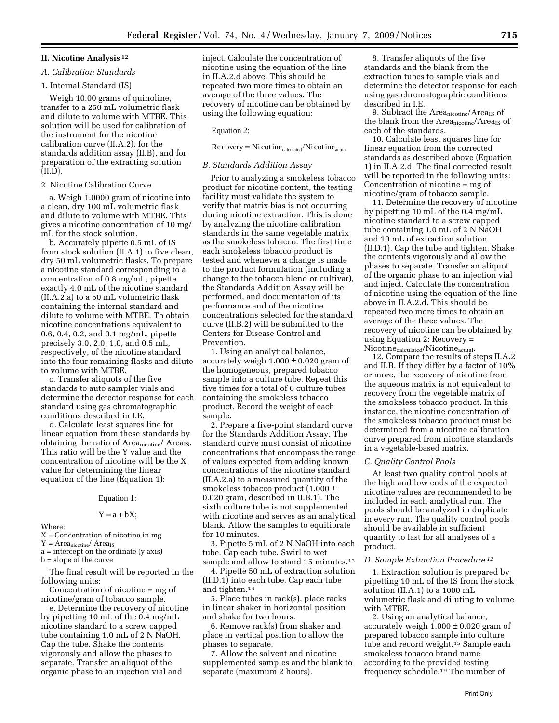### **II. Nicotine Analysis 12**

#### *A. Calibration Standards*

### 1. Internal Standard (IS)

Weigh 10.00 grams of quinoline, transfer to a 250 mL volumetric flask and dilute to volume with MTBE. This solution will be used for calibration of the instrument for the nicotine calibration curve (II.A.2), for the standards addition assay (II.B), and for preparation of the extracting solution (II.D).

#### 2. Nicotine Calibration Curve

a. Weigh 1.0000 gram of nicotine into a clean, dry 100 mL volumetric flask and dilute to volume with MTBE. This gives a nicotine concentration of 10 mg/ mL for the stock solution.

b. Accurately pipette 0.5 mL of IS from stock solution (II.A.1) to five clean, dry 50 mL volumetric flasks. To prepare a nicotine standard corresponding to a concentration of 0.8 mg/mL, pipette exactly 4.0 mL of the nicotine standard (II.A.2.a) to a 50 mL volumetric flask containing the internal standard and dilute to volume with MTBE. To obtain nicotine concentrations equivalent to 0.6, 0.4, 0.2, and 0.1 mg/mL, pipette precisely 3.0, 2.0, 1.0, and 0.5 mL, respectively, of the nicotine standard into the four remaining flasks and dilute to volume with MTBE.

c. Transfer aliquots of the five standards to auto sampler vials and determine the detector response for each standard using gas chromatographic conditions described in I.E.

d. Calculate least squares line for linear equation from these standards by obtaining the ratio of  $Area<sub>nicotine</sub>/Area<sub>IS</sub>$ . This ratio will be the Y value and the concentration of nicotine will be the X value for determining the linear equation of the line (Equation 1):

### Equation 1:

#### $Y = a + bX$ ;

Where:

 $X =$  Concentration of nicotine in mg  $Y = Area<sub>nicotine</sub>/Area<sub>IS</sub>$ 

a = intercept on the ordinate (y axis)

b = slope of the curve

The final result will be reported in the following units:

Concentration of nicotine = mg of nicotine/gram of tobacco sample.

e. Determine the recovery of nicotine by pipetting 10 mL of the 0.4 mg/mL nicotine standard to a screw capped tube containing 1.0 mL of 2 N NaOH. Cap the tube. Shake the contents vigorously and allow the phases to separate. Transfer an aliquot of the organic phase to an injection vial and

inject. Calculate the concentration of nicotine using the equation of the line in II.A.2.d above. This should be repeated two more times to obtain an average of the three values. The recovery of nicotine can be obtained by using the following equation:

### Equation 2:

 $Recovery = Nicotine_{calculated}/Ni\cotine_{actual}$ 

#### *B. Standards Addition Assay*

Prior to analyzing a smokeless tobacco product for nicotine content, the testing facility must validate the system to verify that matrix bias is not occurring during nicotine extraction. This is done by analyzing the nicotine calibration standards in the same vegetable matrix as the smokeless tobacco. The first time each smokeless tobacco product is tested and whenever a change is made to the product formulation (including a change to the tobacco blend or cultivar), the Standards Addition Assay will be performed, and documentation of its performance and of the nicotine concentrations selected for the standard curve (II.B.2) will be submitted to the Centers for Disease Control and Prevention.

1. Using an analytical balance, accurately weigh  $1.000 \pm 0.020$  gram of the homogeneous, prepared tobacco sample into a culture tube. Repeat this five times for a total of 6 culture tubes containing the smokeless tobacco product. Record the weight of each sample.

2. Prepare a five-point standard curve for the Standards Addition Assay. The standard curve must consist of nicotine concentrations that encompass the range of values expected from adding known concentrations of the nicotine standard (II.A.2.a) to a measured quantity of the smokeless tobacco product (1.000 ± 0.020 gram, described in II.B.1). The sixth culture tube is not supplemented with nicotine and serves as an analytical blank. Allow the samples to equilibrate for 10 minutes.

3. Pipette 5 mL of 2 N NaOH into each tube. Cap each tube. Swirl to wet sample and allow to stand 15 minutes.<sup>13</sup>

4. Pipette 50 mL of extraction solution (II.D.1) into each tube. Cap each tube and tighten.14

5. Place tubes in rack(s), place racks in linear shaker in horizontal position and shake for two hours.

6. Remove rack(s) from shaker and place in vertical position to allow the phases to separate.

7. Allow the solvent and nicotine supplemented samples and the blank to separate (maximum 2 hours).

8. Transfer aliquots of the five standards and the blank from the extraction tubes to sample vials and determine the detector response for each using gas chromatographic conditions described in I.E.

9. Subtract the Area<sub>nicotine</sub>/Area<sub>IS</sub> of the blank from the Area $_{\rm nicotine}/$ Area $_{\rm IS}$  of each of the standards.

10. Calculate least squares line for linear equation from the corrected standards as described above (Equation 1) in II.A.2.d. The final corrected result will be reported in the following units: Concentration of nicotine = mg of nicotine/gram of tobacco sample.

11. Determine the recovery of nicotine by pipetting 10 mL of the 0.4 mg/mL nicotine standard to a screw capped tube containing 1.0 mL of 2 N NaOH and 10 mL of extraction solution (II.D.1). Cap the tube and tighten. Shake the contents vigorously and allow the phases to separate. Transfer an aliquot of the organic phase to an injection vial and inject. Calculate the concentration of nicotine using the equation of the line above in II.A.2.d. This should be repeated two more times to obtain an average of the three values. The recovery of nicotine can be obtained by using Equation 2: Recovery = Nicotine<sub>calculated</sub>/Nicotine<sub>actual</sub>.

12. Compare the results of steps II.A.2 and II.B. If they differ by a factor of 10% or more, the recovery of nicotine from the aqueous matrix is not equivalent to recovery from the vegetable matrix of the smokeless tobacco product. In this instance, the nicotine concentration of the smokeless tobacco product must be determined from a nicotine calibration curve prepared from nicotine standards in a vegetable-based matrix.

### *C. Quality Control Pools*

At least two quality control pools at the high and low ends of the expected nicotine values are recommended to be included in each analytical run. The pools should be analyzed in duplicate in every run. The quality control pools should be available in sufficient quantity to last for all analyses of a product.

### *D. Sample Extraction Procedure 12*

1. Extraction solution is prepared by pipetting 10 mL of the IS from the stock solution (II.A.1) to a 1000 mL volumetric flask and diluting to volume with MTBE.

2. Using an analytical balance, accurately weigh  $1.000 \pm 0.020$  gram of prepared tobacco sample into culture tube and record weight.15 Sample each smokeless tobacco brand name according to the provided testing frequency schedule.19 The number of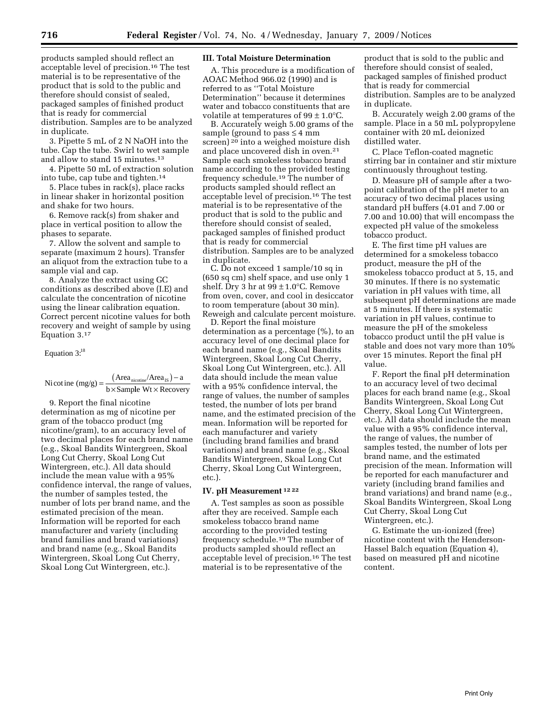products sampled should reflect an acceptable level of precision.16 The test material is to be representative of the product that is sold to the public and therefore should consist of sealed, packaged samples of finished product that is ready for commercial distribution. Samples are to be analyzed in duplicate.

3. Pipette 5 mL of 2 N NaOH into the tube. Cap the tube. Swirl to wet sample and allow to stand 15 minutes.13

4. Pipette 50 mL of extraction solution into tube, cap tube and tighten.14

5. Place tubes in rack(s), place racks in linear shaker in horizontal position and shake for two hours.

6. Remove rack(s) from shaker and place in vertical position to allow the phases to separate.

7. Allow the solvent and sample to separate (maximum 2 hours). Transfer an aliquot from the extraction tube to a sample vial and cap.

8. Analyze the extract using GC conditions as described above (I.E) and calculate the concentration of nicotine using the linear calibration equation. Correct percent nicotine values for both recovery and weight of sample by using Equation 3.17

Equation 3:<sup>18</sup>

Nicotine  $(mg/g) = \frac{(Area_{nicoline}/Area_{IS}) - a}{b \times Sample Wt \times Recovery}$ 

9. Report the final nicotine determination as mg of nicotine per gram of the tobacco product (mg nicotine/gram), to an accuracy level of two decimal places for each brand name (e.g., Skoal Bandits Wintergreen, Skoal Long Cut Cherry, Skoal Long Cut Wintergreen, etc.). All data should include the mean value with a 95% confidence interval, the range of values, the number of samples tested, the number of lots per brand name, and the estimated precision of the mean. Information will be reported for each manufacturer and variety (including brand families and brand variations) and brand name (e.g., Skoal Bandits Wintergreen, Skoal Long Cut Cherry, Skoal Long Cut Wintergreen, etc.).

## **III. Total Moisture Determination**

A. This procedure is a modification of AOAC Method 966.02 (1990) and is referred to as ''Total Moisture Determination'' because it determines water and tobacco constituents that are volatile at temperatures of  $99 \pm 1.0^{\circ}$ C.

B. Accurately weigh 5.00 grams of the sample (ground to pass  $\leq 4$  mm screen) <sup>20</sup> into a weighed moisture dish and place uncovered dish in oven.21 Sample each smokeless tobacco brand name according to the provided testing frequency schedule.19 The number of products sampled should reflect an acceptable level of precision.16 The test material is to be representative of the product that is sold to the public and therefore should consist of sealed, packaged samples of finished product that is ready for commercial distribution. Samples are to be analyzed in duplicate.

C. Do not exceed 1 sample/10 sq in (650 sq cm) shelf space, and use only 1 shelf. Dry 3 hr at  $99 \pm 1.0$ °C. Remove from oven, cover, and cool in desiccator to room temperature (about 30 min). Reweigh and calculate percent moisture.

D. Report the final moisture determination as a percentage (%), to an accuracy level of one decimal place for each brand name (e.g., Skoal Bandits Wintergreen, Skoal Long Cut Cherry, Skoal Long Cut Wintergreen, etc.). All data should include the mean value with a 95% confidence interval, the range of values, the number of samples tested, the number of lots per brand name, and the estimated precision of the mean. Information will be reported for each manufacturer and variety (including brand families and brand variations) and brand name (e.g., Skoal Bandits Wintergreen, Skoal Long Cut Cherry, Skoal Long Cut Wintergreen, etc.).

### **IV. pH Measurement 12 22**

A. Test samples as soon as possible after they are received. Sample each smokeless tobacco brand name according to the provided testing frequency schedule.19 The number of products sampled should reflect an acceptable level of precision.16 The test material is to be representative of the

product that is sold to the public and therefore should consist of sealed, packaged samples of finished product that is ready for commercial distribution. Samples are to be analyzed in duplicate.

B. Accurately weigh 2.00 grams of the sample. Place in a 50 mL polypropylene container with 20 mL deionized distilled water.

C. Place Teflon-coated magnetic stirring bar in container and stir mixture continuously throughout testing.

D. Measure pH of sample after a twopoint calibration of the pH meter to an accuracy of two decimal places using standard pH buffers (4.01 and 7.00 or 7.00 and 10.00) that will encompass the expected pH value of the smokeless tobacco product.

E. The first time pH values are determined for a smokeless tobacco product, measure the pH of the smokeless tobacco product at 5, 15, and 30 minutes. If there is no systematic variation in pH values with time, all subsequent pH determinations are made at 5 minutes. If there is systematic variation in pH values, continue to measure the pH of the smokeless tobacco product until the pH value is stable and does not vary more than 10% over 15 minutes. Report the final pH value.

F. Report the final pH determination to an accuracy level of two decimal places for each brand name (e.g., Skoal Bandits Wintergreen, Skoal Long Cut Cherry, Skoal Long Cut Wintergreen, etc.). All data should include the mean value with a 95% confidence interval, the range of values, the number of samples tested, the number of lots per brand name, and the estimated precision of the mean. Information will be reported for each manufacturer and variety (including brand families and brand variations) and brand name (e.g., Skoal Bandits Wintergreen, Skoal Long Cut Cherry, Skoal Long Cut Wintergreen, etc.).

G. Estimate the un-ionized (free) nicotine content with the Henderson-Hassel Balch equation (Equation 4), based on measured pH and nicotine content.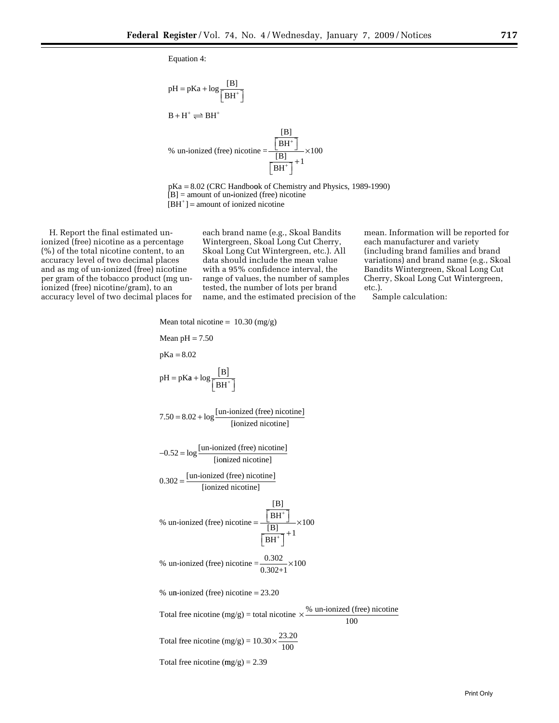Equation 4:

$$
pH = pKa + log \frac{[B]}{[BH^+]}
$$
  
B + H<sup>+</sup>  $\Longleftrightarrow$  BH<sup>+</sup>  
% un-ionized (free) nicotine =  $\frac{\frac{[B]}{[BH^+]}}{\frac{[B]}{[BH^+]}} \times 100$ 

pKa = 8.02 (CRC Handbook of Chemistry and Physics, 1989-1990)  $[B]$  = amount of un-ionized (free) nicotine  $[BH^+]$  = amount of ionized nicotine

ionized (free) nicotine as a percentage Wintergreen, Skoal Long Cut Cherry, each manufacturer and variety (%) of the total nicotine content, to an Skoal Long Cut Wintergreen, etc.). All (including brand families and brand (%) of the total nicotine content, to an Skoal Long Cut Wintergreen, etc.). All accuracy level of two decimal places data should include the mean value and as mg of un-ionized (free) nicotine per gram of the tobacco product (mg un- range of values, the number of samples Cherry, Skoal Long Cut Wintergreen, ionized (free) nicotine/gram), to an tested, the number of lots per brand etc.).

data should include the mean value variations) and brand name (e.g., Skoal<br>with a 95% confidence interval, the Bandits Wintergreen, Skoal Long Cut ionized (free) nicotine/gram), to an tested, the number of lots per brand etc.).<br>accuracy level of two decimal places for name, and the estimated precision of the Sample calculation: name, and the estimated precision of the

H. Report the final estimated un- each brand name (e.g., Skoal Bandits mean. Information will be reported for

100

Mean total incidence = 10.30 (mg/g)  
\nMean pH = 7.50  
\npKa = 8.02  
\nPH = pKa + log 
$$
\frac{[B]}{[BH^+]}
$$
  
\n7.50 = 8.02 + log  $\frac{[un-ionized (free) incidence]}{[ionized incidence]}$   
\n-0.52 = log  $\frac{[un-ionized (free) incidence]}{[ionized incidence]}$   
\n0.302 =  $\frac{[un-ionized (free) incidence]}{[ionized incidence]}$   
\n% un-ionized (free) incidence]  
\n% un-ionized (free) incidence =  $\frac{[B]}{[BH^+]} \times 100$   
\n% un-ionized (free) incidence =  $\frac{0.302}{0.302+1} \times 100$   
\n% un-ionized (free) incidence = 23.20  
\nTotal free incidence (mg/g) = total incidence ×  $\frac{\% (un-ionized (free) incidence)}{100}$   
\nTotal free incidence (mg/g) = 10.30 ×  $\frac{23.20}{100}$ 

Total free nicotine  $(mg/g) = 2.39$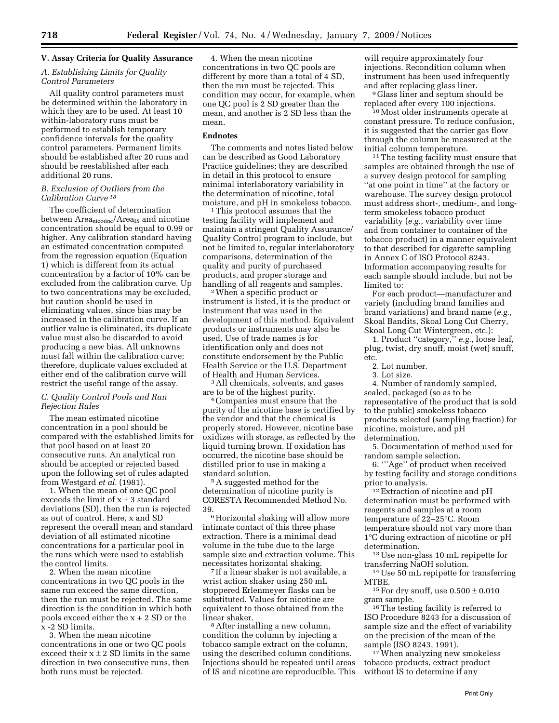# **V. Assay Criteria for Quality Assurance**

### *A. Establishing Limits for Quality Control Parameters*

All quality control parameters must be determined within the laboratory in which they are to be used. At least 10 within-laboratory runs must be performed to establish temporary confidence intervals for the quality control parameters. Permanent limits should be established after 20 runs and should be reestablished after each additional 20 runs.

### *B. Exclusion of Outliers from the Calibration Curve 18*

The coefficient of determination between Areanicotine/Area<sub>IS</sub> and nicotine concentration should be equal to 0.99 or higher. Any calibration standard having an estimated concentration computed from the regression equation (Equation 1) which is different from its actual concentration by a factor of 10% can be excluded from the calibration curve. Up to two concentrations may be excluded, but caution should be used in eliminating values, since bias may be increased in the calibration curve. If an outlier value is eliminated, its duplicate value must also be discarded to avoid producing a new bias. All unknowns must fall within the calibration curve; therefore, duplicate values excluded at either end of the calibration curve will restrict the useful range of the assay.

# *C. Quality Control Pools and Run Rejection Rules*

The mean estimated nicotine concentration in a pool should be compared with the established limits for that pool based on at least 20 consecutive runs. An analytical run should be accepted or rejected based upon the following set of rules adapted from Westgard *et al.* (1981).

1. When the mean of one QC pool exceeds the limit of  $x \pm 3$  standard deviations (SD), then the run is rejected as out of control. Here, x and SD represent the overall mean and standard deviation of all estimated nicotine concentrations for a particular pool in the runs which were used to establish the control limits.

2. When the mean nicotine concentrations in two QC pools in the same run exceed the same direction, then the run must be rejected. The same direction is the condition in which both pools exceed either the x + 2 SD or the x -2 SD limits.

3. When the mean nicotine concentrations in one or two QC pools exceed their  $x \pm 2$  SD limits in the same direction in two consecutive runs, then both runs must be rejected.

4. When the mean nicotine concentrations in two QC pools are different by more than a total of 4 SD, then the run must be rejected. This condition may occur, for example, when one QC pool is 2 SD greater than the mean, and another is 2 SD less than the mean.

### **Endnotes**

The comments and notes listed below can be described as Good Laboratory Practice guidelines; they are described in detail in this protocol to ensure minimal interlaboratory variability in the determination of nicotine, total moisture, and pH in smokeless tobacco. 1 This protocol assumes that the

testing facility will implement and maintain a stringent Quality Assurance/ Quality Control program to include, but not be limited to, regular interlaboratory comparisons, determination of the quality and purity of purchased products, and proper storage and handling of all reagents and samples. 2 When a specific product or

instrument is listed, it is the product or instrument that was used in the development of this method. Equivalent products or instruments may also be used. Use of trade names is for identification only and does not constitute endorsement by the Public Health Service or the U.S. Department

<sup>3</sup> All chemicals, solvents, and gases are to be of the highest purity. 4 Companies must ensure that the

purity of the nicotine base is certified by the vendor and that the chemical is properly stored. However, nicotine base oxidizes with storage, as reflected by the liquid turning brown. If oxidation has occurred, the nicotine base should be distilled prior to use in making a

standard solution. 5 A suggested method for the determination of nicotine purity is CORESTA Recommended Method No.

39. 6 Horizontal shaking will allow more intimate contact of this three phase extraction. There is a minimal dead volume in the tube due to the large sample size and extraction volume. This necessitates horizontal shaking. 7 If a linear shaker is not available, a

wrist action shaker using 250 mL stoppered Erlenmeyer flasks can be substituted. Values for nicotine are equivalent to those obtained from the linear shaker.<br><sup>8</sup> After installing a new column,

condition the column by injecting a tobacco sample extract on the column, using the described column conditions. Injections should be repeated until areas of IS and nicotine are reproducible. This will require approximately four injections. Recondition column when instrument has been used infrequently

and after replacing glass liner.<br><sup>9</sup> Glass liner and septum should be<br>replaced after every 100 injections.

<sup>10</sup> Most older instruments operate at constant pressure. To reduce confusion, it is suggested that the carrier gas flow through the column be measured at the

<sup>11</sup> The testing facility must ensure that samples are obtained through the use of a survey design protocol for sampling ''at one point in time'' at the factory or warehouse. The survey design protocol must address short-, medium-, and longterm smokeless tobacco product variability (*e.g.*, variability over time and from container to container of the tobacco product) in a manner equivalent to that described for cigarette sampling in Annex C of ISO Protocol 8243. Information accompanying results for each sample should include, but not be limited to:

For each product—manufacturer and variety (including brand families and brand variations) and brand name (*e.g.*, Skoal Bandits, Skoal Long Cut Cherry, Skoal Long Cut Wintergreen, etc.):

1. Product ''category,'' *e.g.*, loose leaf, plug, twist, dry snuff, moist (wet) snuff, etc.

2. Lot number.

3. Lot size.

4. Number of randomly sampled, sealed, packaged (so as to be representative of the product that is sold to the public) smokeless tobacco products selected (sampling fraction) for nicotine, moisture, and pH determination.

5. Documentation of method used for random sample selection.

6. '''Age'' of product when received by testing facility and storage conditions<br>prior to analysis.

<sup>12</sup> Extraction of nicotine and pH determination must be performed with reagents and samples at a room temperature of 22–25°C. Room temperature should not vary more than 1°C during extraction of nicotine or pH determination. 13 Use non-glass 10 mL repipette for

transferring NaOH solution.<br><sup>14</sup> Use 50 mL repipette for transferring<br>MTBE.

<sup>15</sup> For dry snuff, use  $0.500 \pm 0.010$ gram sample. 16 The testing facility is referred to

ISO Procedure 8243 for a discussion of sample size and the effect of variability on the precision of the mean of the

sample (ISO 8243, 1991). 17 When analyzing new smokeless tobacco products, extract product without IS to determine if any